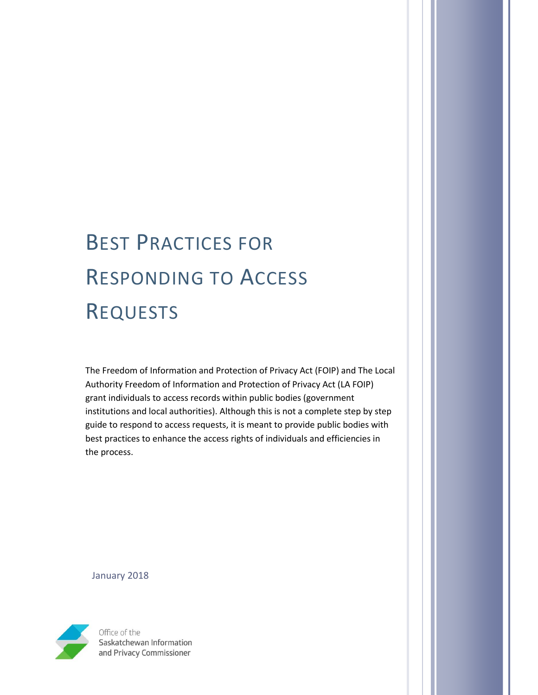# BEST PRACTICES FOR RESPONDING TO ACCESS REQUESTS

The Freedom of Information and Protection of Privacy Act (FOIP) and The Local Authority Freedom of Information and Protection of Privacy Act (LA FOIP) grant individuals to access records within public bodies (government institutions and local authorities). Although this is not a complete step by step guide to respond to access requests, it is meant to provide public bodies with best practices to enhance the access rights of individuals and efficiencies in the process.

January 2018



Office of the Saskatchewan Information and Privacy Commissioner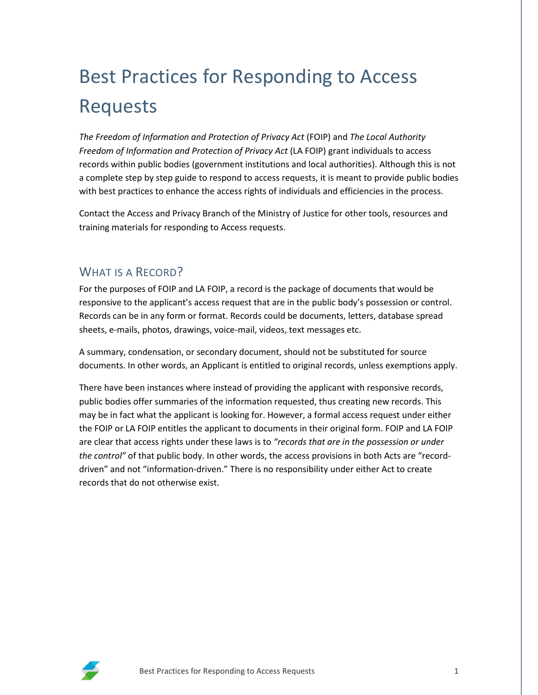## Best Practices for Responding to Access Requests

*The Freedom of Information and Protection of Privacy Act* (FOIP) and *The Local Authority Freedom of Information and Protection of Privacy Act* (LA FOIP) grant individuals to access records within public bodies (government institutions and local authorities). Although this is not a complete step by step guide to respond to access requests, it is meant to provide public bodies with best practices to enhance the access rights of individuals and efficiencies in the process.

Contact the Access and Privacy Branch of the Ministry of Justice for other tools, resources and training materials for responding to Access requests.

## WHAT IS A RECORD?

For the purposes of FOIP and LA FOIP, a record is the package of documents that would be responsive to the applicant's access request that are in the public body's possession or control. Records can be in any form or format. Records could be documents, letters, database spread sheets, e-mails, photos, drawings, voice-mail, videos, text messages etc.

A summary, condensation, or secondary document, should not be substituted for source documents. In other words, an Applicant is entitled to original records, unless exemptions apply.

There have been instances where instead of providing the applicant with responsive records, public bodies offer summaries of the information requested, thus creating new records. This may be in fact what the applicant is looking for. However, a formal access request under either the FOIP or LA FOIP entitles the applicant to documents in their original form. FOIP and LA FOIP are clear that access rights under these laws is to *"records that are in the possession or under the control"* of that public body. In other words, the access provisions in both Acts are "recorddriven" and not "information-driven." There is no responsibility under either Act to create records that do not otherwise exist.

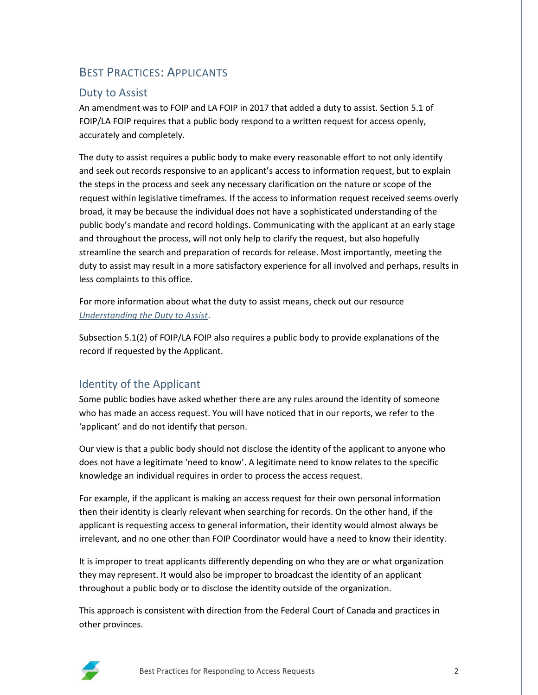## BEST PRACTICES: APPLICANTS

#### Duty to Assist

An amendment was to FOIP and LA FOIP in 2017 that added a duty to assist. Section 5.1 of FOIP/LA FOIP requires that a public body respond to a written request for access openly, accurately and completely.

The duty to assist requires a public body to make every reasonable effort to not only identify and seek out records responsive to an applicant's access to information request, but to explain the steps in the process and seek any necessary clarification on the nature or scope of the request within legislative timeframes. If the access to information request received seems overly broad, it may be because the individual does not have a sophisticated understanding of the public body's mandate and record holdings. Communicating with the applicant at an early stage and throughout the process, will not only help to clarify the request, but also hopefully streamline the search and preparation of records for release. Most importantly, meeting the duty to assist may result in a more satisfactory experience for all involved and perhaps, results in less complaints to this office.

For more information about what the duty to assist means, check out our resource *[Understanding the Duty to Assist](https://oipc.sk.ca/assets/understanding-the-duty-to-assist.pdf)*.

Subsection 5.1(2) of FOIP/LA FOIP also requires a public body to provide explanations of the record if requested by the Applicant.

#### Identity of the Applicant

Some public bodies have asked whether there are any rules around the identity of someone who has made an access request. You will have noticed that in our reports, we refer to the 'applicant' and do not identify that person.

Our view is that a public body should not disclose the identity of the applicant to anyone who does not have a legitimate 'need to know'. A legitimate need to know relates to the specific knowledge an individual requires in order to process the access request.

For example, if the applicant is making an access request for their own personal information then their identity is clearly relevant when searching for records. On the other hand, if the applicant is requesting access to general information, their identity would almost always be irrelevant, and no one other than FOIP Coordinator would have a need to know their identity.

It is improper to treat applicants differently depending on who they are or what organization they may represent. It would also be improper to broadcast the identity of an applicant throughout a public body or to disclose the identity outside of the organization.

This approach is consistent with direction from the Federal Court of Canada and practices in other provinces.

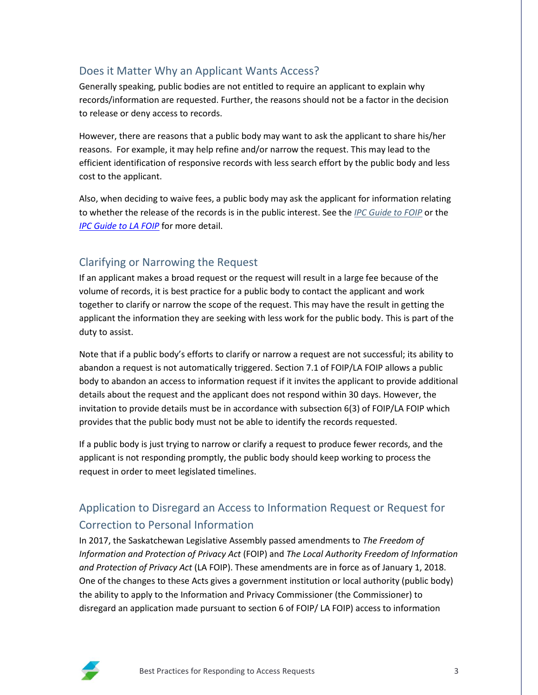#### Does it Matter Why an Applicant Wants Access?

Generally speaking, public bodies are not entitled to require an applicant to explain why records/information are requested. Further, the reasons should not be a factor in the decision to release or deny access to records.

However, there are reasons that a public body may want to ask the applicant to share his/her reasons. For example, it may help refine and/or narrow the request. This may lead to the efficient identification of responsive records with less search effort by the public body and less cost to the applicant.

Also, when deciding to waive fees, a public body may ask the applicant for information relating to whether the release of the records is in the public interest. See the *[IPC Guide to F](https://oipc.sk.ca/legislation-main/foip/ipc-guide-to-foip/)OIP* or the *IPC [Guide to LA](https://oipc.sk.ca/legislation-main/la-foip/ipc-guide-to-la-foip/) FOIP* for more detail.

#### Clarifying or Narrowing the Request

If an applicant makes a broad request or the request will result in a large fee because of the volume of records, it is best practice for a public body to contact the applicant and work together to clarify or narrow the scope of the request. This may have the result in getting the applicant the information they are seeking with less work for the public body. This is part of the duty to assist.

Note that if a public body's efforts to clarify or narrow a request are not successful; its ability to abandon a request is not automatically triggered. Section 7.1 of FOIP/LA FOIP allows a public body to abandon an access to information request if it invites the applicant to provide additional details about the request and the applicant does not respond within 30 days. However, the invitation to provide details must be in accordance with subsection 6(3) of FOIP/LA FOIP which provides that the public body must not be able to identify the records requested.

If a public body is just trying to narrow or clarify a request to produce fewer records, and the applicant is not responding promptly, the public body should keep working to process the request in order to meet legislated timelines.

## Application to Disregard an Access to Information Request or Request for Correction to Personal Information

In 2017, the Saskatchewan Legislative Assembly passed amendments to *The Freedom of Information and Protection of Privacy Act* (FOIP) and *The Local Authority Freedom of Information and Protection of Privacy Act* (LA FOIP). These amendments are in force as of January 1, 2018. One of the changes to these Acts gives a government institution or local authority (public body) the ability to apply to the Information and Privacy Commissioner (the Commissioner) to disregard an application made pursuant to section 6 of FOIP/ LA FOIP) access to information

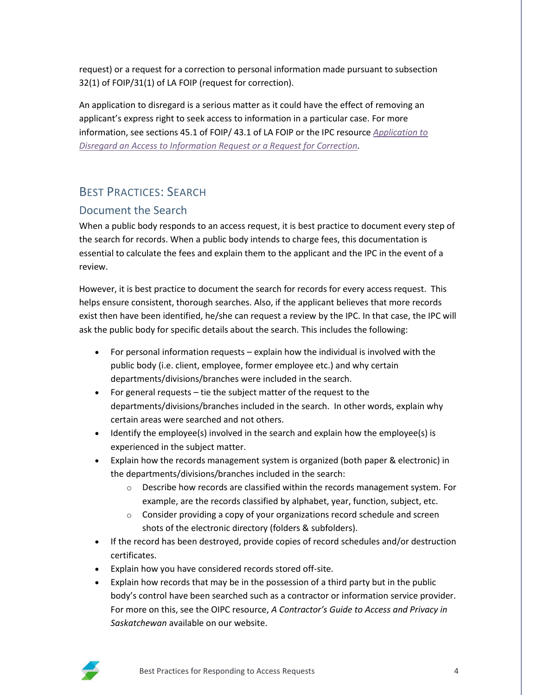request) or a request for a correction to personal information made pursuant to subsection 32(1) of FOIP/31(1) of LA FOIP (request for correction).

An application to disregard is a serious matter as it could have the effect of removing an applicant's express right to seek access to information in a particular case. For more information, see sections 45.1 of FOIP/ 43.1 of LA FOIP or the IPC resource *[Application to](https://oipc.sk.ca/assets/application-to-disregard-an-access-to-information-request-or-request-for-correction.pdf)  [Disregard an Access to Information Request or a Request for Correction.](https://oipc.sk.ca/assets/application-to-disregard-an-access-to-information-request-or-request-for-correction.pdf)*

## BEST PRACTICES: SEARCH

#### Document the Search

When a public body responds to an access request, it is best practice to document every step of the search for records. When a public body intends to charge fees, this documentation is essential to calculate the fees and explain them to the applicant and the IPC in the event of a review.

However, it is best practice to document the search for records for every access request. This helps ensure consistent, thorough searches. Also, if the applicant believes that more records exist then have been identified, he/she can request a review by the IPC. In that case, the IPC will ask the public body for specific details about the search. This includes the following:

- For personal information requests explain how the individual is involved with the public body (i.e. client, employee, former employee etc.) and why certain departments/divisions/branches were included in the search.
- For general requests tie the subject matter of the request to the departments/divisions/branches included in the search. In other words, explain why certain areas were searched and not others.
- Identify the employee(s) involved in the search and explain how the employee(s) is experienced in the subject matter.
- Explain how the records management system is organized (both paper & electronic) in the departments/divisions/branches included in the search:
	- $\circ$  Describe how records are classified within the records management system. For example, are the records classified by alphabet, year, function, subject, etc.
	- $\circ$  Consider providing a copy of your organizations record schedule and screen shots of the electronic directory (folders & subfolders).
- If the record has been destroyed, provide copies of record schedules and/or destruction certificates.
- Explain how you have considered records stored off-site.
- Explain how records that may be in the possession of a third party but in the public body's control have been searched such as a contractor or information service provider. For more on this, see the OIPC resource, *A Contractor's Guide to Access and Privacy in Saskatchewan* available on our website.

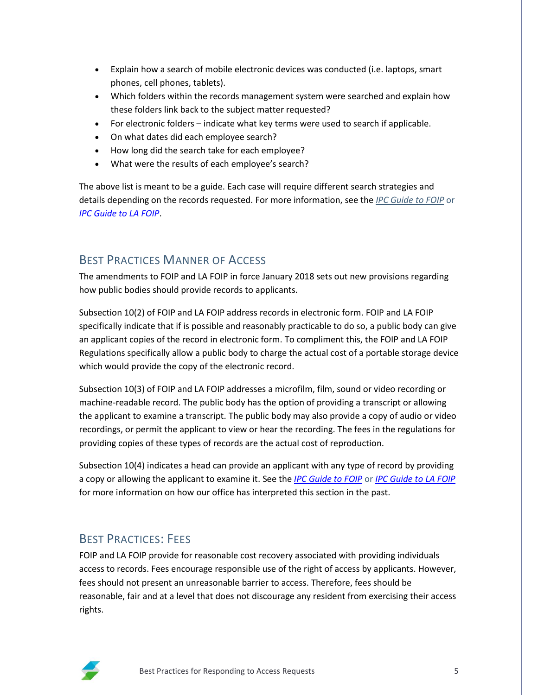- Explain how a search of mobile electronic devices was conducted (i.e. laptops, smart phones, cell phones, tablets).
- Which folders within the records management system were searched and explain how these folders link back to the subject matter requested?
- For electronic folders indicate what key terms were used to search if applicable.
- On what dates did each employee search?
- How long did the search take for each employee?
- What were the results of each employee's search?

The above list is meant to be a guide. Each case will require different search strategies and details depending on the records requested. For more information, see the *[IPC Guide to F](https://oipc.sk.ca/legislation-main/foip/ipc-guide-to-foip/)OIP* or *IPC [Guide to LA](https://oipc.sk.ca/legislation-main/la-foip/ipc-guide-to-la-foip/) FOIP*.

## BEST PRACTICES MANNER OF ACCESS

The amendments to FOIP and LA FOIP in force January 2018 sets out new provisions regarding how public bodies should provide records to applicants.

Subsection 10(2) of FOIP and LA FOIP address records in electronic form. FOIP and LA FOIP specifically indicate that if is possible and reasonably practicable to do so, a public body can give an applicant copies of the record in electronic form. To compliment this, the FOIP and LA FOIP Regulations specifically allow a public body to charge the actual cost of a portable storage device which would provide the copy of the electronic record.

Subsection 10(3) of FOIP and LA FOIP addresses a microfilm, film, sound or video recording or machine-readable record. The public body has the option of providing a transcript or allowing the applicant to examine a transcript. The public body may also provide a copy of audio or video recordings, or permit the applicant to view or hear the recording. The fees in the regulations for providing copies of these types of records are the actual cost of reproduction.

Subsection 10(4) indicates a head can provide an applicant with any type of record by providing a copy or allowing the applicant to examine it. See the *[IPC Guide to FOIP](https://oipc.sk.ca/legislation-main/foip/ipc-guide-to-foip/)* or *IPC [Guide to LA](https://oipc.sk.ca/legislation-main/la-foip/ipc-guide-to-la-foip/) FOIP* for more information on how our office has interpreted this section in the past.

## BEST PRACTICES: FEES

FOIP and LA FOIP provide for reasonable cost recovery associated with providing individuals access to records. Fees encourage responsible use of the right of access by applicants. However, fees should not present an unreasonable barrier to access. Therefore, fees should be reasonable, fair and at a level that does not discourage any resident from exercising their access rights.

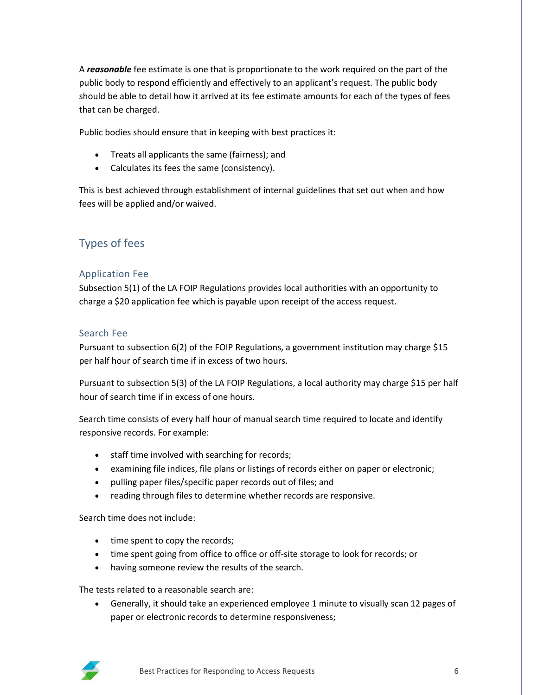A *reasonable* fee estimate is one that is proportionate to the work required on the part of the public body to respond efficiently and effectively to an applicant's request. The public body should be able to detail how it arrived at its fee estimate amounts for each of the types of fees that can be charged.

Public bodies should ensure that in keeping with best practices it:

- Treats all applicants the same (fairness); and
- Calculates its fees the same (consistency).

This is best achieved through establishment of internal guidelines that set out when and how fees will be applied and/or waived.

## Types of fees

#### Application Fee

Subsection 5(1) of the LA FOIP Regulations provides local authorities with an opportunity to charge a \$20 application fee which is payable upon receipt of the access request.

#### Search Fee

Pursuant to subsection 6(2) of the FOIP Regulations, a government institution may charge \$15 per half hour of search time if in excess of two hours.

Pursuant to subsection 5(3) of the LA FOIP Regulations, a local authority may charge \$15 per half hour of search time if in excess of one hours.

Search time consists of every half hour of manual search time required to locate and identify responsive records. For example:

- staff time involved with searching for records;
- examining file indices, file plans or listings of records either on paper or electronic;
- pulling paper files/specific paper records out of files; and
- reading through files to determine whether records are responsive.

Search time does not include:

- time spent to copy the records;
- time spent going from office to office or off-site storage to look for records; or
- having someone review the results of the search.

The tests related to a reasonable search are:

 Generally, it should take an experienced employee 1 minute to visually scan 12 pages of paper or electronic records to determine responsiveness;

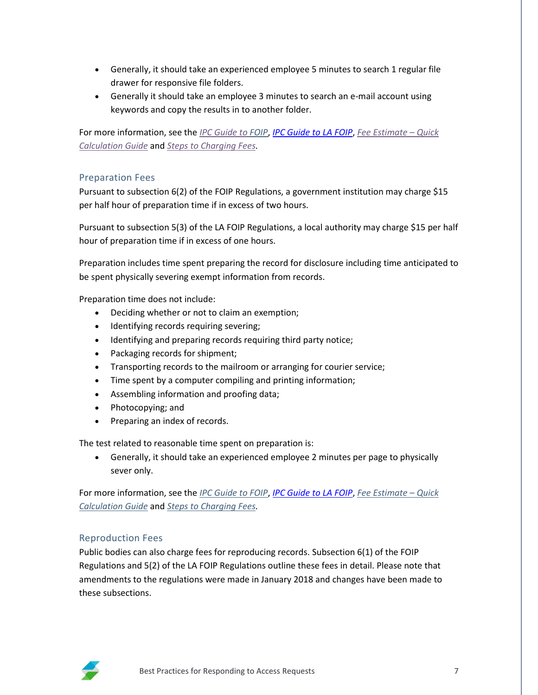- Generally, it should take an experienced employee 5 minutes to search 1 regular file drawer for responsive file folders.
- Generally it should take an employee 3 minutes to search an e-mail account using keywords and copy the results in to another folder.

For more information, see the *[IPC Guide to F](https://oipc.sk.ca/legislation-main/foip/ipc-guide-to-foip/)OIP*, *IPC [Guide to LA](https://oipc.sk.ca/legislation-main/la-foip/ipc-guide-to-la-foip/) FOIP*, *[Fee Estimate](https://oipc.sk.ca/assets/quick-calculation-guide.pdf) – Quick [Calculation Guide](https://oipc.sk.ca/assets/quick-calculation-guide.pdf)* and *[Steps to Charging Fees.](https://oipc.sk.ca/assets/steps-to-charging-fees.pdf)*

#### Preparation Fees

Pursuant to subsection 6(2) of the FOIP Regulations, a government institution may charge \$15 per half hour of preparation time if in excess of two hours.

Pursuant to subsection 5(3) of the LA FOIP Regulations, a local authority may charge \$15 per half hour of preparation time if in excess of one hours.

Preparation includes time spent preparing the record for disclosure including time anticipated to be spent physically severing exempt information from records.

Preparation time does not include:

- Deciding whether or not to claim an exemption;
- Identifying records requiring severing;
- Identifying and preparing records requiring third party notice;
- Packaging records for shipment;
- Transporting records to the mailroom or arranging for courier service;
- Time spent by a computer compiling and printing information;
- Assembling information and proofing data;
- Photocopying; and
- Preparing an index of records.

The test related to reasonable time spent on preparation is:

 Generally, it should take an experienced employee 2 minutes per page to physically sever only.

For more information, see the *[IPC Guide to F](https://oipc.sk.ca/legislation-main/foip/ipc-guide-to-foip/)OIP*, *IPC [Guide to LA](https://oipc.sk.ca/legislation-main/la-foip/ipc-guide-to-la-foip/) FOIP*, *[Fee Estimate](https://oipc.sk.ca/assets/quick-calculation-guide.pdf) – Quick [Calculation Guide](https://oipc.sk.ca/assets/quick-calculation-guide.pdf)* and *[Steps to Charging Fees.](https://oipc.sk.ca/assets/steps-to-charging-fees.pdf)*

#### Reproduction Fees

Public bodies can also charge fees for reproducing records. Subsection 6(1) of the FOIP Regulations and 5(2) of the LA FOIP Regulations outline these fees in detail. Please note that amendments to the regulations were made in January 2018 and changes have been made to these subsections.

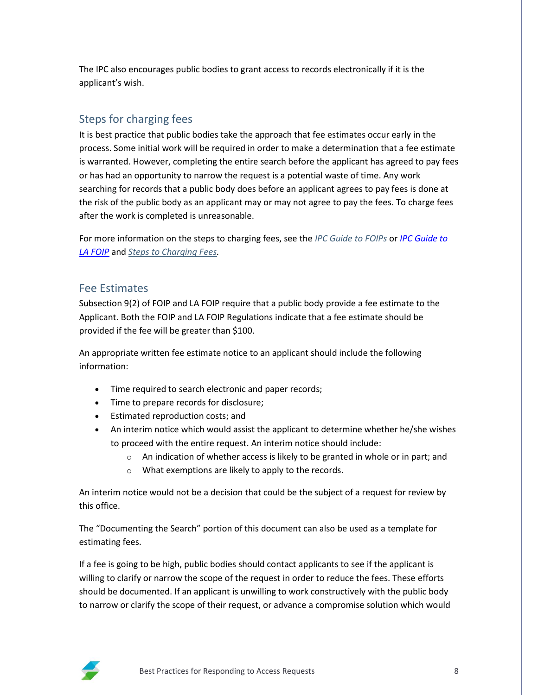The IPC also encourages public bodies to grant access to records electronically if it is the applicant's wish.

#### Steps for charging fees

It is best practice that public bodies take the approach that fee estimates occur early in the process. Some initial work will be required in order to make a determination that a fee estimate is warranted. However, completing the entire search before the applicant has agreed to pay fees or has had an opportunity to narrow the request is a potential waste of time. Any work searching for records that a public body does before an applicant agrees to pay fees is done at the risk of the public body as an applicant may or may not agree to pay the fees. To charge fees after the work is completed is unreasonable.

For more information on the steps to charging fees, see the *[IPC Guide](https://oipc.sk.ca/legislation-main/foip/ipc-guide-to-foip/) to FOIPs* or *IPC [Guide to](https://oipc.sk.ca/legislation-main/la-foip/ipc-guide-to-la-foip/)  LA [FOIP](https://oipc.sk.ca/legislation-main/la-foip/ipc-guide-to-la-foip/)* and *[Steps to Charging Fees.](https://oipc.sk.ca/assets/steps-to-charging-fees.pdf)*

#### Fee Estimates

Subsection 9(2) of FOIP and LA FOIP require that a public body provide a fee estimate to the Applicant. Both the FOIP and LA FOIP Regulations indicate that a fee estimate should be provided if the fee will be greater than \$100.

An appropriate written fee estimate notice to an applicant should include the following information:

- Time required to search electronic and paper records;
- Time to prepare records for disclosure;
- Estimated reproduction costs; and
- An interim notice which would assist the applicant to determine whether he/she wishes to proceed with the entire request. An interim notice should include:
	- o An indication of whether access is likely to be granted in whole or in part; and
	- o What exemptions are likely to apply to the records.

An interim notice would not be a decision that could be the subject of a request for review by this office.

The "Documenting the Search" portion of this document can also be used as a template for estimating fees.

If a fee is going to be high, public bodies should contact applicants to see if the applicant is willing to clarify or narrow the scope of the request in order to reduce the fees. These efforts should be documented. If an applicant is unwilling to work constructively with the public body to narrow or clarify the scope of their request, or advance a compromise solution which would

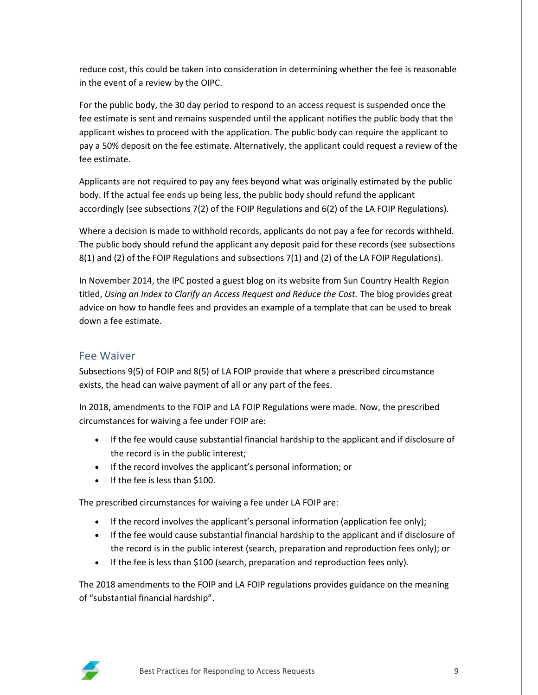reduce cost, this could be taken into consideration in determining whether the fee is reasonable in the event of a review by the OIPC.

For the public body, the 30 day period to respond to an access request is suspended once the fee estimate is sent and remains suspended until the applicant notifies the public body that the applicant wishes to proceed with the application. The public body can require the applicant to pay a 50% deposit on the fee estimate. Alternatively, the applicant could request a review of the fee estimate.

Applicants are not required to pay any fees beyond what was originally estimated by the public body. If the actual fee ends up being less, the public body should refund the applicant accordingly (see subsections 7(2) of the FOIP Regulations and 6(2) of the LA FOIP Regulations).

Where a decision is made to withhold records, applicants do not pay a fee for records withheld. The public body should refund the applicant any deposit paid for these records (see subsections 8(1) and (2) of the FOIP Regulations and subsections 7(1) and (2) of the LA FOIP Regulations).

In November 2014, the IPC posted a guest blog on its website from Sun Country Health Region titled, *Using an Index to Clarify an Access Request and Reduce the Cost.* The blog provides great advice on how to handle fees and provides an example of a template that can be used to break down a fee estimate.

#### Fee Waiver

Subsections 9(5) of FOIP and 8(5) of LA FOIP provide that where a prescribed circumstance exists, the head can waive payment of all or any part of the fees.

In 2018, amendments to the FOIP and LA FOIP Regulations were made. Now, the prescribed circumstances for waiving a fee under FOIP are:

- If the fee would cause substantial financial hardship to the applicant and if disclosure of the record is in the public interest;
- If the record involves the applicant's personal information; or
- $\bullet$  If the fee is less than \$100.

The prescribed circumstances for waiving a fee under LA FOIP are:

- If the record involves the applicant's personal information (application fee only);
- If the fee would cause substantial financial hardship to the applicant and if disclosure of the record is in the public interest (search, preparation and reproduction fees only); or
- If the fee is less than \$100 (search, preparation and reproduction fees only).

The 2018 amendments to the FOIP and LA FOIP regulations provides guidance on the meaning of "substantial financial hardship".